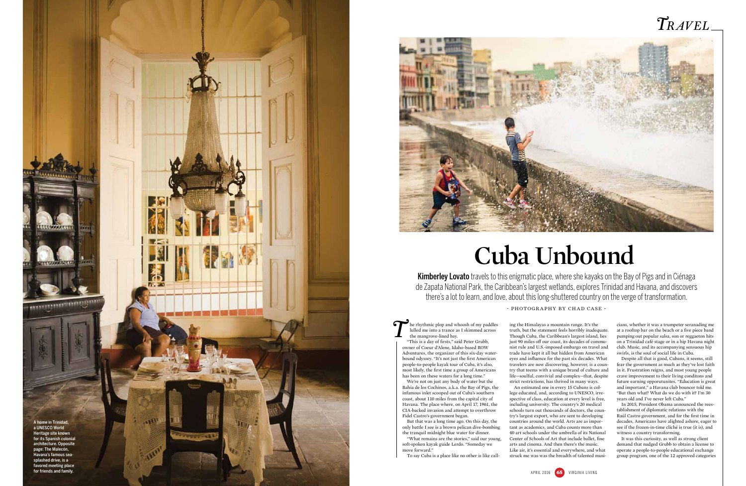## *Travel*

he rhythmic plop and whoosh of my paddles lulled me into a trance as I skimmed across the mangrove-lined bay.

We're not on just any body of water but the Bahía de los Cochinos, a.k.a. the Bay of Pigs, the infamous inlet scooped out of Cuba's southern coast, about 110 miles from the capital city of Havana. The place where, on April 17, 1961, the CIA-backed invasion and attempt to overthrow Fidel Castro's government began.

But that was a long time ago. On this day, the

only battle I see is a brown pelican dive-bombing the tranquil midnight blue water for dinner. "What remains are the stories," said our young, soft-spoken kayak guide Lerdo. "Someday we move forward."

To say Cuba is a place like no other is like call-

ing the Himalayas a mountain range. It's the truth, but the statement feels horribly inadequate. Though Cuba, the Caribbean's largest island, lies just 90 miles off our coast, its decades of communist rule and U.S.-imposed embargo on travel and trade have kept it all but hidden from American eyes and influence for the past six decades. What travelers are now discovering, however, is a country that teems with a unique brand of culture and life—soulful, convivial and complex—that, despite strict restrictions, has thrived in many ways.

Kimberley Lovato travels to this enigmatic place, where she kayaks on the Bay of Pigs and in Ciénaga de Zapata National Park, the Caribbean's largest wetlands, explores Trinidad and Havana, and discovers there's a lot to learn, and love, about this long-shuttered country on the verge of transformation.

"This is a day of firsts," said Peter Grubb, owner of Coeur d'Alene, Idaho-based ROW Adventures, the organizer of this six-day waterbound odyssey. "It's not just the first American people-to-people kayak tour of Cuba, it's also, most likely, the first time a group of Americans has been on these waters for a long time." *T*

> An estimated one in every 15 Cubans is college educated, and, according to UNESCO, irrespective of class, education at every level is free, including university. The country's 20 medical schools turn out thousands of doctors, the country's largest export, who are sent to developing countries around the world. Arts are as important as academics, and Cuba counts more than 40 art schools under the umbrella of its National Center of Schools of Art that include ballet, fine arts and cinema. And then there's the music. Like air, it's essential and everywhere, and what struck me was was the breadth of talented musi-

cians, whether it was a trumpeter seranading me at a rooftop bar on the beach or a five piece band pumping out popular salsa, son or reggaeton hits on a Trinidad café stage or in a hip Havana night club. Music, and its accompanying sensuous hip swirls, is the soul of social life in Cuba.

Despite all that is good, Cubans, it seems, still fear the government as much as they've lost faith in it. Frustration reigns, and most young people crave improvement to their living conditons and future earning opporutunites. "Education is great and important," a Havana club bouncer told me. "But then what? What do we do with it? I'm 30 years old and I've never left Cuba."

In 2015, President Obama announced the reestablishment of diplomatic relations with the Raúl Castro government, and for the first time in decades, Americans have alighted ashore, eager to see if the frozen-in-time cliché is true (it is), and witness a country transforming.

It was this curiosity, as well as strong client demand that nudged Grubb to obtain a license to operate a people-to-people educational exchange group program, one of the 12 approved categories

## **Cuba Unbound**





- photography by chad case -